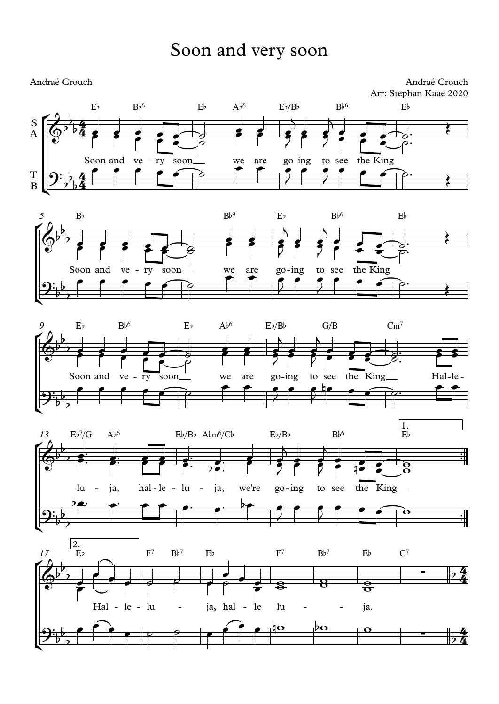# Soon and very soon



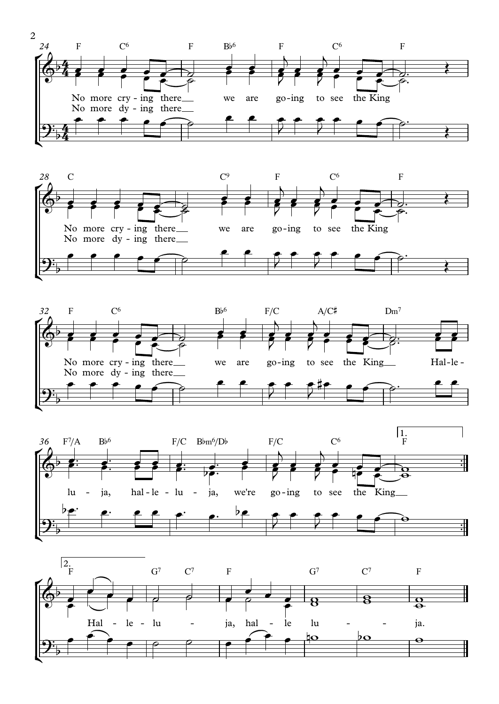